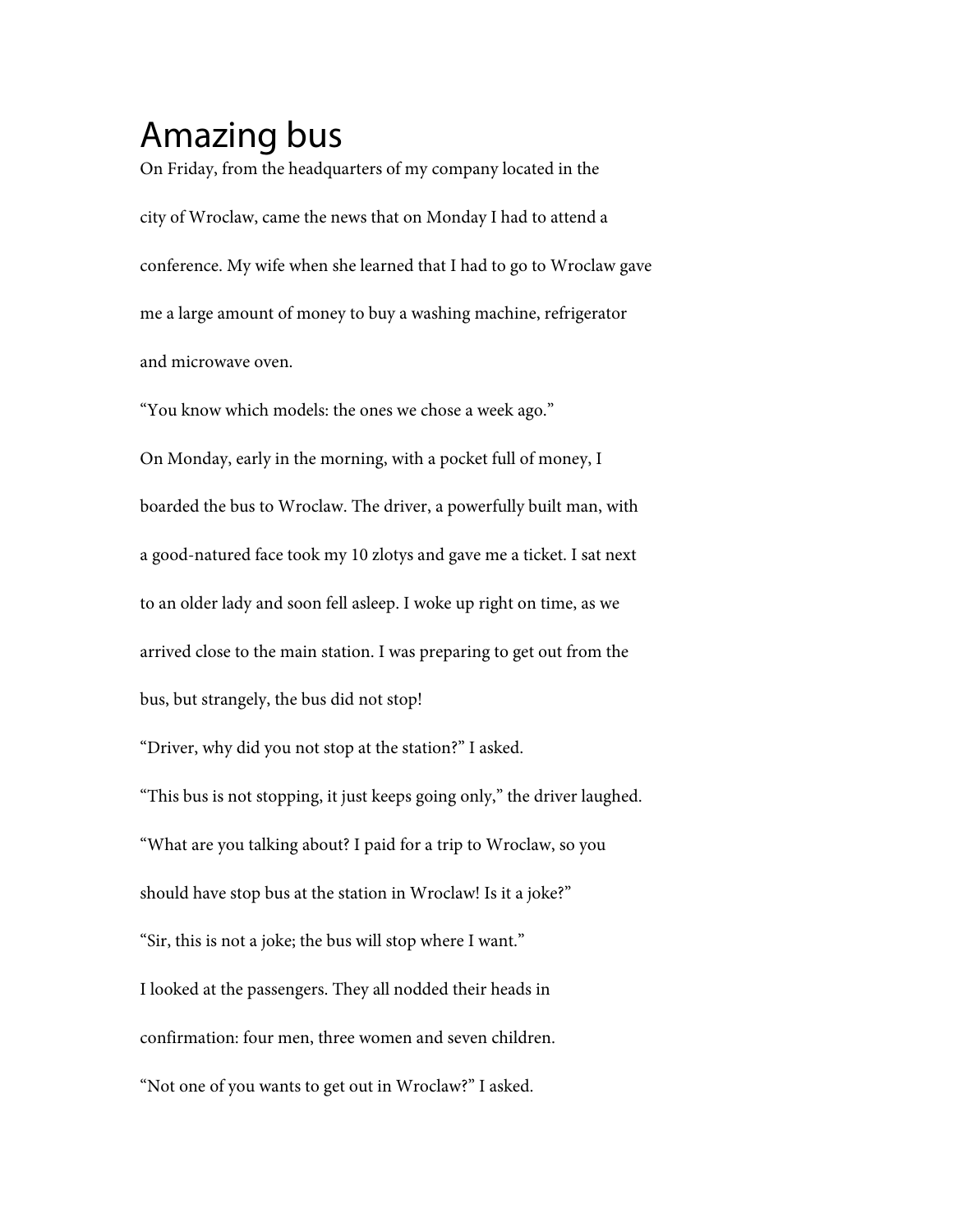## Amazing bus

On Friday, from the headquarters of my company located in the city of Wroclaw, came the news that on Monday I had to attend a conference. My wife when she learned that I had to go to Wroclaw gave me a large amount of money to buy a washing machine, refrigerator and microwave oven.

''You know which models: the ones we chose a week ago.''

On Monday, early in the morning, with a pocket full of money, I boarded the bus to Wroclaw. The driver, a powerfully built man, with a good-natured face took my 10 zlotys and gave me a ticket. I sat next to an older lady and soon fell asleep. I woke up right on time, as we arrived close to the main station. I was preparing to get out from the bus, but strangely, the bus did not stop!

''Driver, why did you not stop at the station?'' I asked.

"This bus is not stopping, it just keeps going only," the driver laughed. ''What are you talking about? I paid for a trip to Wroclaw, so you should have stop bus at the station in Wroclaw! Is it a joke?'' "Sir, this is not a joke; the bus will stop where I want." I looked at the passengers. They all nodded their heads in confirmation: four men, three women and seven children. "Not one of you wants to get out in Wroclaw?" I asked.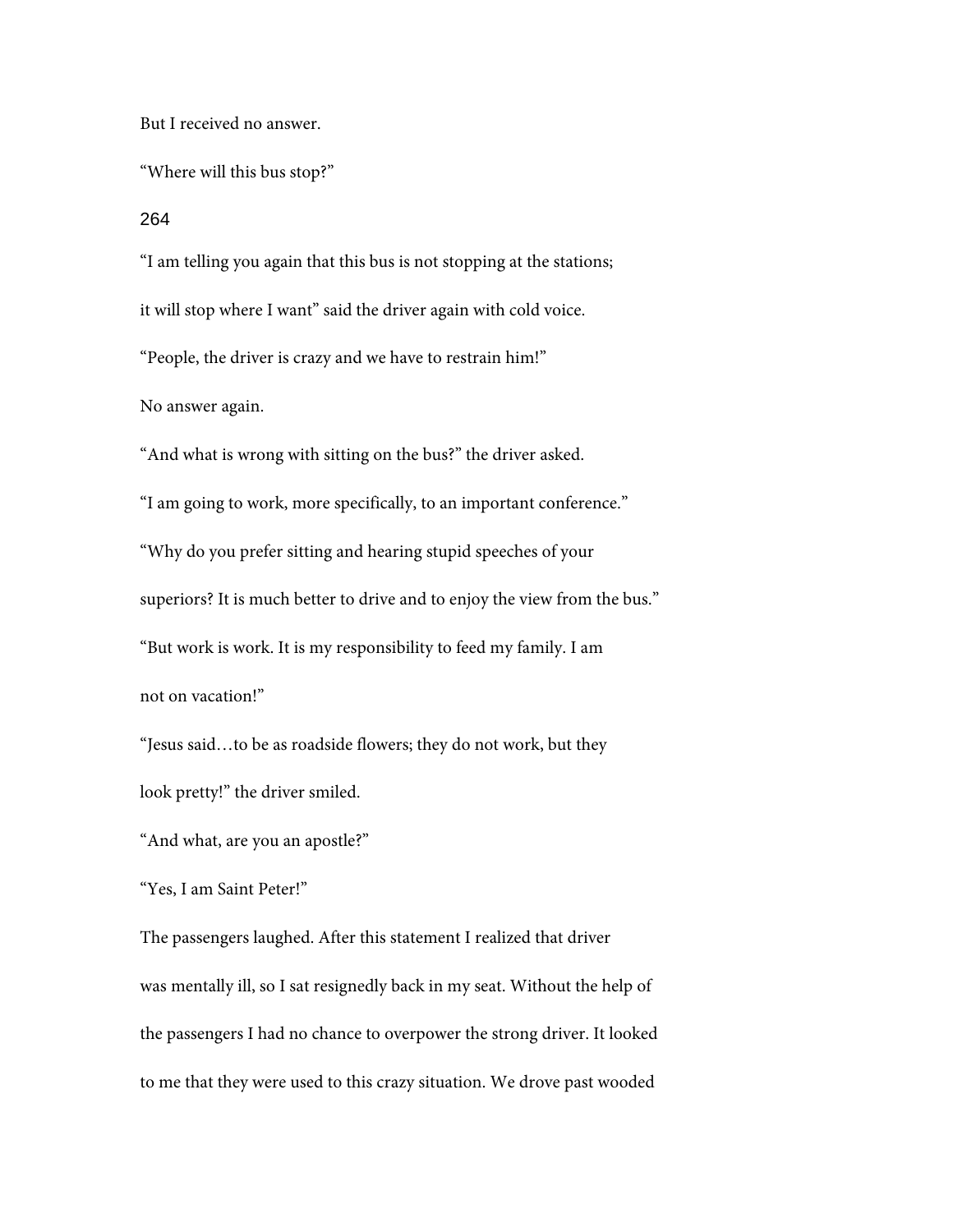But I received no answer.

''Where will this bus stop?''

264

''I am telling you again that this bus is not stopping at the stations; it will stop where I want'' said the driver again with cold voice. ''People, the driver is crazy and we have to restrain him!'' No answer again. "And what is wrong with sitting on the bus?" the driver asked. ''I am going to work, more specifically, to an important conference.'' ''Why do you prefer sitting and hearing stupid speeches of your

superiors? It is much better to drive and to enjoy the view from the bus.''

''But work is work. It is my responsibility to feed my family. I am

not on vacation!''

''Jesus said…to be as roadside flowers; they do not work, but they look pretty!'' the driver smiled.

''And what, are you an apostle?''

''Yes, I am Saint Peter!''

The passengers laughed. After this statement I realized that driver was mentally ill, so I sat resignedly back in my seat. Without the help of the passengers I had no chance to overpower the strong driver. It looked to me that they were used to this crazy situation. We drove past wooded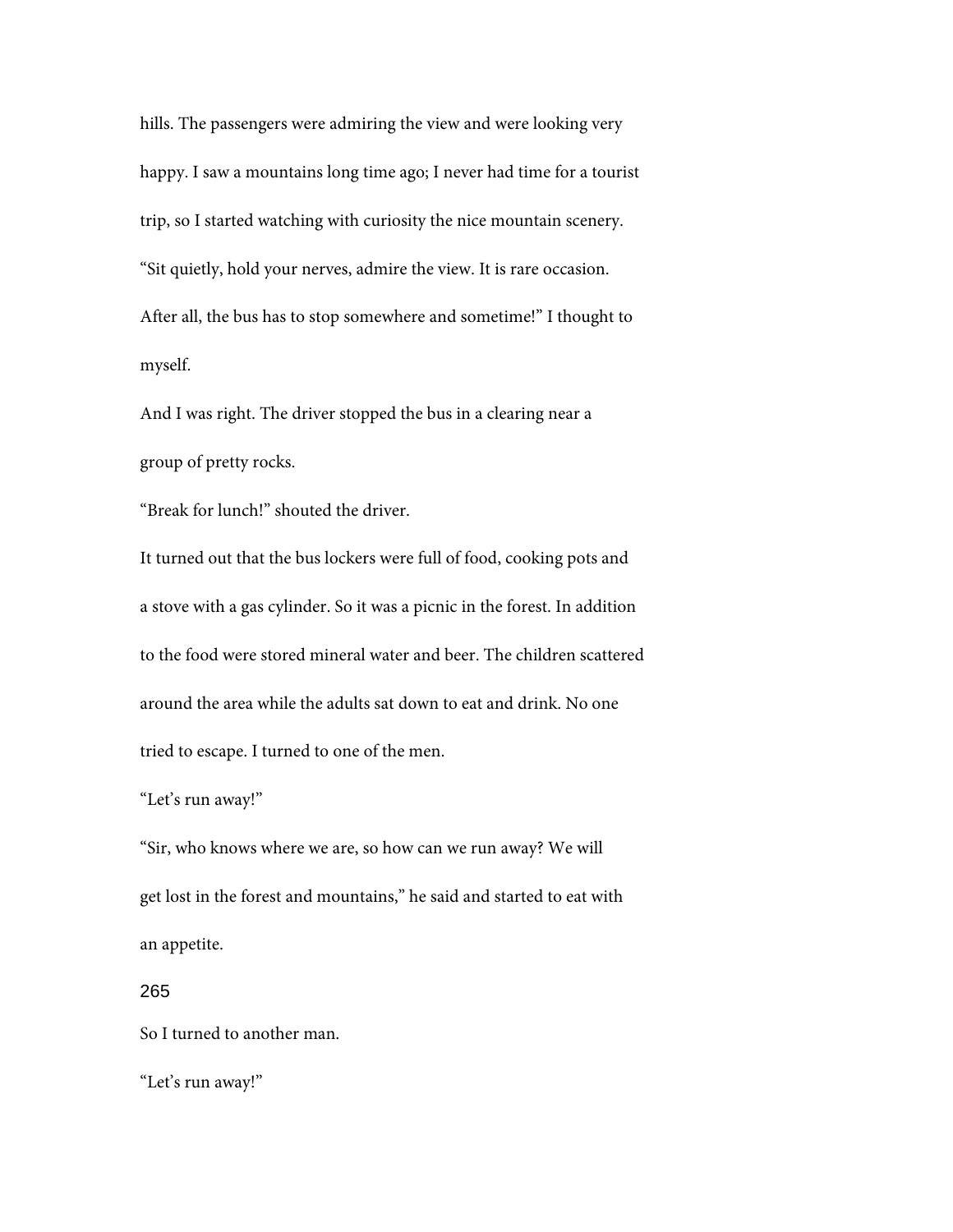hills. The passengers were admiring the view and were looking very happy. I saw a mountains long time ago; I never had time for a tourist trip, so I started watching with curiosity the nice mountain scenery. "Sit quietly, hold your nerves, admire the view. It is rare occasion. After all, the bus has to stop somewhere and sometime!'' I thought to myself.

And I was right. The driver stopped the bus in a clearing near a group of pretty rocks.

''Break for lunch!'' shouted the driver.

It turned out that the bus lockers were full of food, cooking pots and a stove with a gas cylinder. So it was a picnic in the forest. In addition to the food were stored mineral water and beer. The children scattered around the area while the adults sat down to eat and drink. No one tried to escape. I turned to one of the men.

## "Let's run away!"

"Sir, who knows where we are, so how can we run away? We will get lost in the forest and mountains,'' he said and started to eat with an appetite.

## 265

So I turned to another man.

"Let's run away!"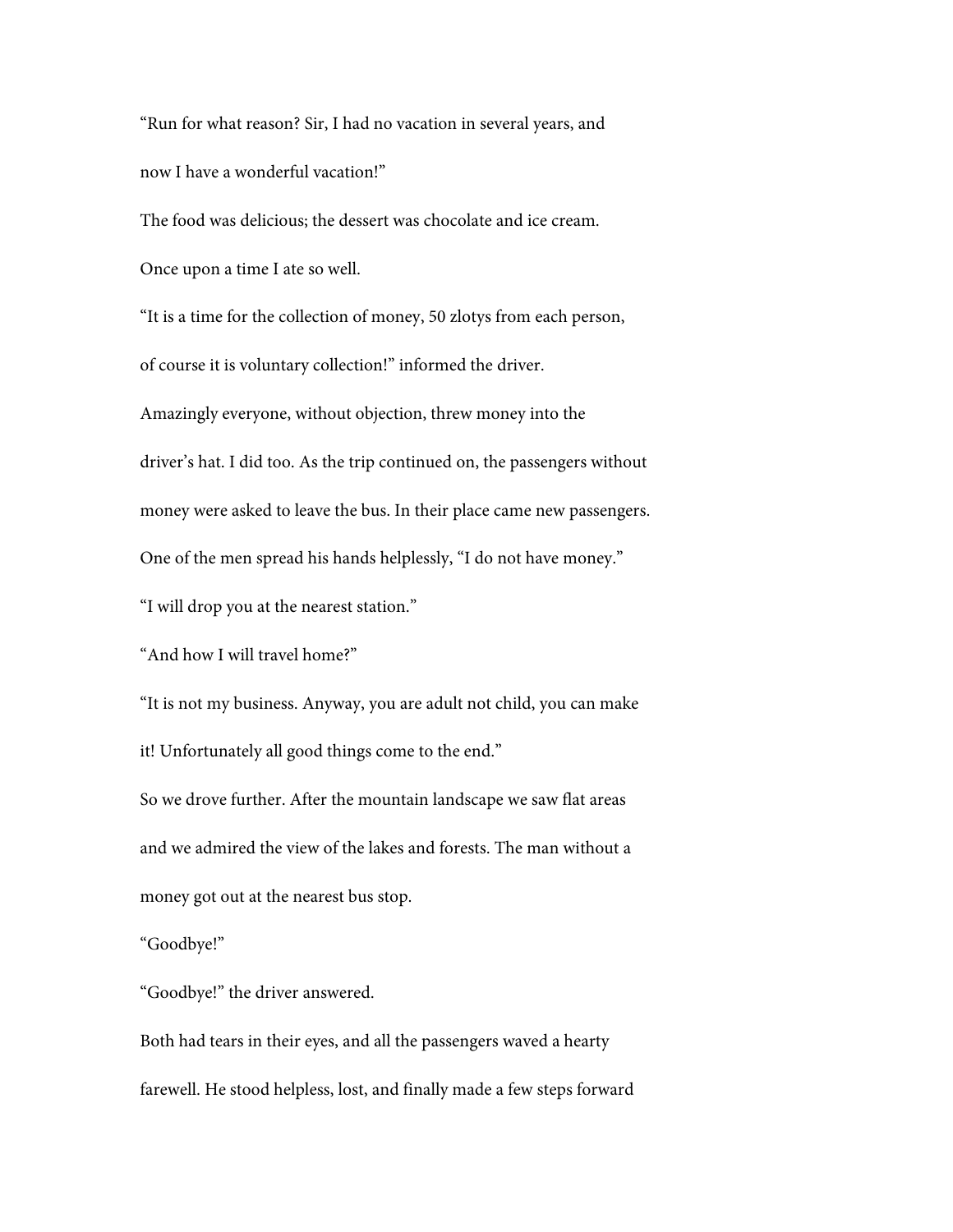"Run for what reason? Sir, I had no vacation in several years, and now I have a wonderful vacation!''

The food was delicious; the dessert was chocolate and ice cream.

Once upon a time I ate so well.

''It is a time for the collection of money, 50 zlotys from each person, of course it is voluntary collection!'' informed the driver.

Amazingly everyone, without objection, threw money into the driver's hat. I did too. As the trip continued on, the passengers without money were asked to leave the bus. In their place came new passengers. One of the men spread his hands helplessly, ''I do not have money.''

''I will drop you at the nearest station.''

''And how I will travel home?''

''It is not my business. Anyway, you are adult not child, you can make it! Unfortunately all good things come to the end.''

So we drove further. After the mountain landscape we saw flat areas and we admired the view of the lakes and forests. The man without a money got out at the nearest bus stop.

''Goodbye!''

''Goodbye!'' the driver answered.

Both had tears in their eyes, and all the passengers waved a hearty farewell. He stood helpless, lost, and finally made a few steps forward